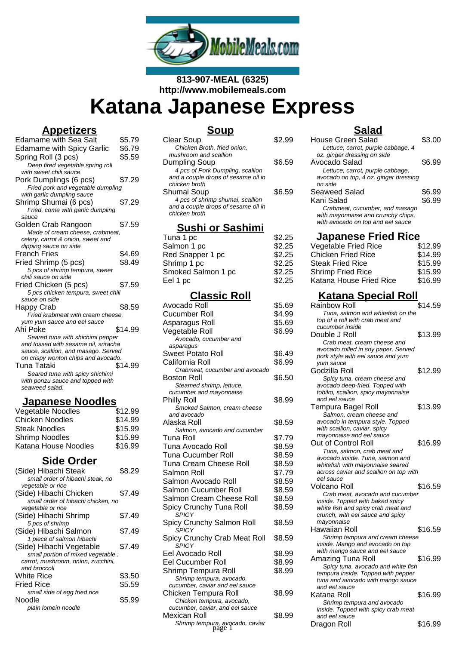

**813-907-MEAL (6325) http://www.mobilemeals.com**

# **Katana Japanese Express**

# **Appetizers**

| <u> Appulleurs</u>                                                          |         |
|-----------------------------------------------------------------------------|---------|
| Edamame with Sea Salt                                                       | \$5.79  |
| <b>Edamame with Spicy Garlic</b>                                            | \$6.79  |
| Spring Roll (3 pcs)                                                         | \$5.59  |
| Deep fired vegetable spring roll                                            |         |
| with sweet chili sauce                                                      |         |
| Pork Dumplings (6 pcs)                                                      | \$7.29  |
| Fried pork and vegetable dumpling                                           |         |
| with garlic dumpling sauce                                                  |         |
| Shrimp Shumai (6 pcs)                                                       | \$7.29  |
| Fried, come with garlic dumpling                                            |         |
| sauce                                                                       |         |
| Golden Crab Rangoon                                                         | \$7.59  |
| Made of cream cheese, crabmeat,                                             |         |
| celery, carrot & onion, sweet and                                           |         |
| dipping sauce on side                                                       |         |
| <b>French Fries</b>                                                         | \$4.69  |
| Fried Shrimp (5 pcs)                                                        | \$8.49  |
| 5 pcs of shrimp tempura, sweet                                              |         |
| chili sauce on side                                                         |         |
| Fried Chicken (5 pcs)                                                       | \$7.59  |
| 5 pcs chicken tempura, sweet chili                                          |         |
| sauce on side                                                               |         |
| Happy Crab                                                                  | \$8.59  |
| Fried krabmeat with cream cheese.                                           |         |
| yum yum sauce and eel sauce                                                 |         |
| Ahi Poke                                                                    | \$14.99 |
| Seared tuna with shichimi pepper                                            |         |
| and tossed with sesame oil, sriracha<br>sauce, scallion, and masago. Served |         |
| on crispy wonton chips and avocado.                                         |         |
| Tuna Tataki                                                                 | \$14.99 |
| Seared tuna with spicy shichimi                                             |         |
| with ponzu sauce and topped with                                            |         |
| seaweed salad.                                                              |         |
|                                                                             |         |

# **Japanese Noodles**

| Vegetable Noodles      | \$12.99 |
|------------------------|---------|
| <b>Chicken Noodles</b> | \$14.99 |
| <b>Steak Noodles</b>   | \$15.99 |
| <b>Shrimp Noodles</b>  | \$15.99 |
| Katana House Noodles   | \$16.99 |
|                        |         |

# **Side Order**

| (Side) Hibachi Steak               | \$8.29 |
|------------------------------------|--------|
| small order of hibachi steak, no   |        |
| vegetable or rice                  |        |
| (Side) Hibachi Chicken             | \$7.49 |
| small order of hibachi chicken, no |        |
| vegetable or rice                  |        |
| (Side) Hibachi Shrimp              | \$7.49 |
| 5 pcs of shrimp                    |        |
| (Side) Hibachi Salmon              | \$7.49 |
| 1 piece of salmon hibachi          |        |
| (Side) Hibachi Vegetable           | \$7.49 |
| small portion of mixed vegetable : |        |
| carrot, mushroom, onion, zucchini, |        |
| and broccoli                       |        |
| White Rice                         | \$3.50 |
| <b>Fried Rice</b>                  | \$5.59 |
| small side of egg fried rice       |        |
| Noodle                             | \$5.99 |
| plain lomein noodle                |        |

#### **Soup** Clear Soup \$2.99 Chicken Broth, fried onion, mushroom and scallion Dumpling Soup \$6.59 4 pcs of Pork Dumpling, scallion and a couple drops of sesame oil in chicken broth Shumai Soup \$6.59 4 pcs of shrimp shumai, scallion and a couple drops of sesame oil in chicken broth

### **Sushi or Sashimi**

| Tuna 1 pc          | \$2.25 |
|--------------------|--------|
| Salmon 1 pc        | \$2.25 |
| Red Snapper 1 pc   | \$2.25 |
| Shrimp 1 pc        | \$2.25 |
| Smoked Salmon 1 pc | \$2.25 |
| Eel 1 pc           | \$2.25 |
|                    |        |

# **Classic Roll**

| \$5.69 |
|--------|
| \$4.99 |
| \$5.69 |
| \$6.99 |
|        |
|        |
| \$6.49 |
| \$6.99 |
|        |
| \$6.50 |
|        |
|        |
| \$8.99 |
|        |
| \$8.59 |
|        |
| \$7.79 |
| \$8.59 |
| \$8.59 |
| \$8.59 |
| \$7.79 |
| \$8.59 |
| \$8.59 |
| \$8.59 |
|        |
| \$8.59 |
| \$8.59 |
|        |
| \$8.59 |
|        |
| \$8.99 |
| \$8.99 |
| \$8.99 |
|        |
|        |
| \$8.99 |
|        |
|        |
| \$8.99 |
|        |
|        |

# **Salad**

| House Green Salad<br>Lettuce, carrot, purple cabbage, 4                              | \$3.00  |
|--------------------------------------------------------------------------------------|---------|
| oz. ginger dressing on side                                                          |         |
| Avocado Salad                                                                        | \$6.99  |
| Lettuce, carrot, purple cabbage,<br>avocado on top, 4 oz. ginger dressing<br>on side |         |
| <b>Seaweed Salad</b>                                                                 | \$6.99  |
| Kani Salad                                                                           | \$6.99  |
| Crabmeat, cucumber, and masago                                                       |         |
| with mayonnaise and crunchy chips,                                                   |         |
| with avocado on top and eel sauce                                                    |         |
| <u> Japanese Fried Rice</u>                                                          |         |
| Vegetable Fried Rice                                                                 | \$12.99 |
| <b>Chicken Fried Rice</b>                                                            | \$14.99 |
| Steak Fried Rice                                                                     | \$15.99 |
| Shrimp Fried Rice                                                                    | \$15.99 |
| Katana House Fried Rice                                                              | \$16.99 |
| <u> Katana Special Roll</u>                                                          |         |
| Rainbow Roll                                                                         | \$14.59 |
| Tuna, salmon and whitefish on the                                                    |         |
| top of a roll with crab meat and<br>cucumber inside                                  |         |
| Double J Roll                                                                        | \$13.99 |
| Crab meat, cream cheese and                                                          |         |
| avocado rolled in soy paper. Served                                                  |         |
| pork style with eel sauce and yum                                                    |         |
| yum sauce                                                                            |         |
| Godzilla Roll                                                                        | \$12.99 |
| Spicy tuna, cream cheese and                                                         |         |
| avocado deep-fried. Topped with<br>tobiko, scallion, spicy mayonnaise                |         |
| and eel sauce                                                                        |         |
| Tempura Bagel Roll                                                                   | \$13.99 |
| Salmon, cream cheese and                                                             |         |
| avocado in tempura style. Topped                                                     |         |
| with scallion, caviar, spicy                                                         |         |
| mayonnaise and eel sauce                                                             |         |
| Out of Control Roll<br>Tuna, salmon, crab meat and                                   | \$16.99 |
| avocado inside. Tuna, salmon and                                                     |         |
| whitefish with mayonnaise seared                                                     |         |
| across caviar and scallion on top with                                               |         |
| eel sauce                                                                            |         |
| Volcano Roll                                                                         | \$16.59 |
| Crab meat, avocado and cucumber<br>inside. Topped with baked spicy                   |         |
| white fish and spicy crab meat and                                                   |         |
| crunch, with eel sauce and spicy                                                     |         |
| mayonnaise                                                                           |         |
| Hawaiian Roll                                                                        | \$16.59 |
| Shrimp tempura and cream cheese                                                      |         |
| inside. Mango and avocado on top                                                     |         |
| with mango sauce and eel sauce<br>Amazing Tuna Roll                                  | \$16.99 |
| Spicy tuna, avocado and white fish                                                   |         |
| tempura inside. Topped with pepper                                                   |         |
| tuna and avocado with mango sauce                                                    |         |
| and eel sauce                                                                        |         |
| Katana Roll                                                                          | \$16.99 |
| Shrimp tempura and avocado                                                           |         |
| inside. Topped with spicy crab meat                                                  |         |
| and eel sauce<br>Dragon Roll                                                         | \$16.99 |
|                                                                                      |         |